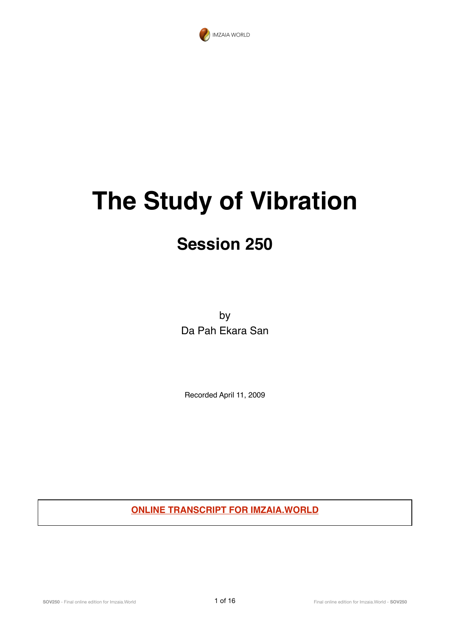

## **The Study of Vibration**

## **Session 250**

by Da Pah Ekara San

Recorded April 11, 2009

**ONLINE TRANSCRIPT FOR IMZAIA.WORLD**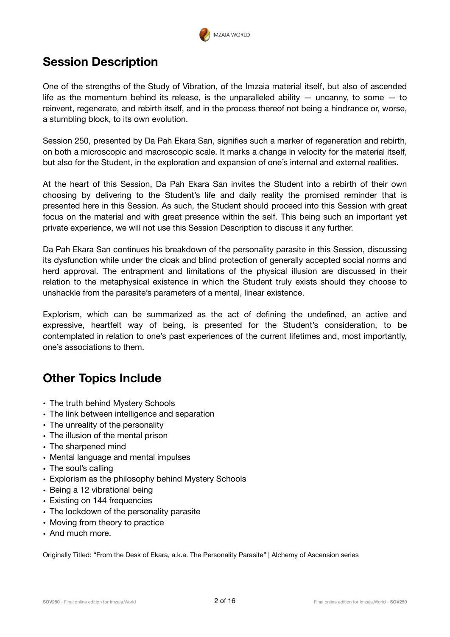

## **Session Description**

One of the strengths of the Study of Vibration, of the Imzaia material itself, but also of ascended life as the momentum behind its release, is the unparalleled ability  $-$  uncanny, to some  $-$  to reinvent, regenerate, and rebirth itself, and in the process thereof not being a hindrance or, worse, a stumbling block, to its own evolution.

Session 250, presented by Da Pah Ekara San, signifies such a marker of regeneration and rebirth, on both a microscopic and macroscopic scale. It marks a change in velocity for the material itself, but also for the Student, in the exploration and expansion of one's internal and external realities.

At the heart of this Session, Da Pah Ekara San invites the Student into a rebirth of their own choosing by delivering to the Student's life and daily reality the promised reminder that is presented here in this Session. As such, the Student should proceed into this Session with great focus on the material and with great presence within the self. This being such an important yet private experience, we will not use this Session Description to discuss it any further.

Da Pah Ekara San continues his breakdown of the personality parasite in this Session, discussing its dysfunction while under the cloak and blind protection of generally accepted social norms and herd approval. The entrapment and limitations of the physical illusion are discussed in their relation to the metaphysical existence in which the Student truly exists should they choose to unshackle from the parasite's parameters of a mental, linear existence.

Explorism, which can be summarized as the act of defining the undefined, an active and expressive, heartfelt way of being, is presented for the Student's consideration, to be contemplated in relation to one's past experiences of the current lifetimes and, most importantly, one's associations to them.

## **Other Topics Include**

- The truth behind Mystery Schools
- The link between intelligence and separation
- The unreality of the personality
- The illusion of the mental prison
- The sharpened mind
- Mental language and mental impulses
- The soul's calling
- Explorism as the philosophy behind Mystery Schools
- Being a 12 vibrational being
- Existing on 144 frequencies
- The lockdown of the personality parasite
- Moving from theory to practice
- And much more.

Originally Titled: "From the Desk of Ekara, a.k.a. The Personality Parasite" | Alchemy of Ascension series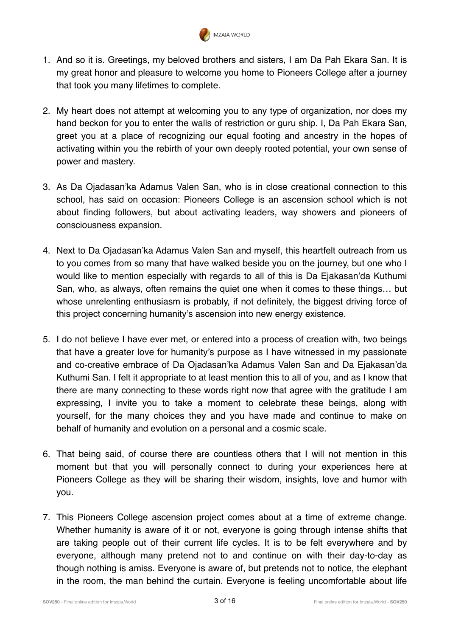

- 1. And so it is. Greetings, my beloved brothers and sisters, I am Da Pah Ekara San. It is my great honor and pleasure to welcome you home to Pioneers College after a journey that took you many lifetimes to complete.
- 2. My heart does not attempt at welcoming you to any type of organization, nor does my hand beckon for you to enter the walls of restriction or guru ship. I, Da Pah Ekara San, greet you at a place of recognizing our equal footing and ancestry in the hopes of activating within you the rebirth of your own deeply rooted potential, your own sense of power and mastery.
- 3. As Da Ojadasan'ka Adamus Valen San, who is in close creational connection to this school, has said on occasion: Pioneers College is an ascension school which is not about finding followers, but about activating leaders, way showers and pioneers of consciousness expansion.
- 4. Next to Da Ojadasan'ka Adamus Valen San and myself, this heartfelt outreach from us to you comes from so many that have walked beside you on the journey, but one who I would like to mention especially with regards to all of this is Da Ejakasan'da Kuthumi San, who, as always, often remains the quiet one when it comes to these things… but whose unrelenting enthusiasm is probably, if not definitely, the biggest driving force of this project concerning humanity's ascension into new energy existence.
- 5. I do not believe I have ever met, or entered into a process of creation with, two beings that have a greater love for humanity's purpose as I have witnessed in my passionate and co-creative embrace of Da Ojadasan'ka Adamus Valen San and Da Ejakasan'da Kuthumi San. I felt it appropriate to at least mention this to all of you, and as I know that there are many connecting to these words right now that agree with the gratitude I am expressing, I invite you to take a moment to celebrate these beings, along with yourself, for the many choices they and you have made and continue to make on behalf of humanity and evolution on a personal and a cosmic scale.
- 6. That being said, of course there are countless others that I will not mention in this moment but that you will personally connect to during your experiences here at Pioneers College as they will be sharing their wisdom, insights, love and humor with you.
- 7. This Pioneers College ascension project comes about at a time of extreme change. Whether humanity is aware of it or not, everyone is going through intense shifts that are taking people out of their current life cycles. It is to be felt everywhere and by everyone, although many pretend not to and continue on with their day-to-day as though nothing is amiss. Everyone is aware of, but pretends not to notice, the elephant in the room, the man behind the curtain. Everyone is feeling uncomfortable about life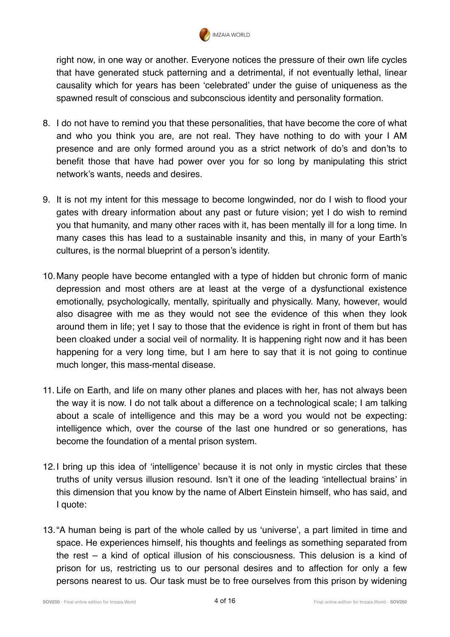

right now, in one way or another. Everyone notices the pressure of their own life cycles that have generated stuck patterning and a detrimental, if not eventually lethal, linear causality which for years has been 'celebrated' under the guise of uniqueness as the spawned result of conscious and subconscious identity and personality formation.

- 8. I do not have to remind you that these personalities, that have become the core of what and who you think you are, are not real. They have nothing to do with your I AM presence and are only formed around you as a strict network of do's and don'ts to benefit those that have had power over you for so long by manipulating this strict network's wants, needs and desires.
- 9. It is not my intent for this message to become longwinded, nor do I wish to flood your gates with dreary information about any past or future vision; yet I do wish to remind you that humanity, and many other races with it, has been mentally ill for a long time. In many cases this has lead to a sustainable insanity and this, in many of your Earth's cultures, is the normal blueprint of a person's identity.
- 10.Many people have become entangled with a type of hidden but chronic form of manic depression and most others are at least at the verge of a dysfunctional existence emotionally, psychologically, mentally, spiritually and physically. Many, however, would also disagree with me as they would not see the evidence of this when they look around them in life; yet I say to those that the evidence is right in front of them but has been cloaked under a social veil of normality. It is happening right now and it has been happening for a very long time, but I am here to say that it is not going to continue much longer, this mass-mental disease.
- 11. Life on Earth, and life on many other planes and places with her, has not always been the way it is now. I do not talk about a difference on a technological scale; I am talking about a scale of intelligence and this may be a word you would not be expecting: intelligence which, over the course of the last one hundred or so generations, has become the foundation of a mental prison system.
- 12.I bring up this idea of 'intelligence' because it is not only in mystic circles that these truths of unity versus illusion resound. Isn't it one of the leading 'intellectual brains' in this dimension that you know by the name of Albert Einstein himself, who has said, and I quote:
- 13."A human being is part of the whole called by us 'universe', a part limited in time and space. He experiences himself, his thoughts and feelings as something separated from the rest – a kind of optical illusion of his consciousness. This delusion is a kind of prison for us, restricting us to our personal desires and to affection for only a few persons nearest to us. Our task must be to free ourselves from this prison by widening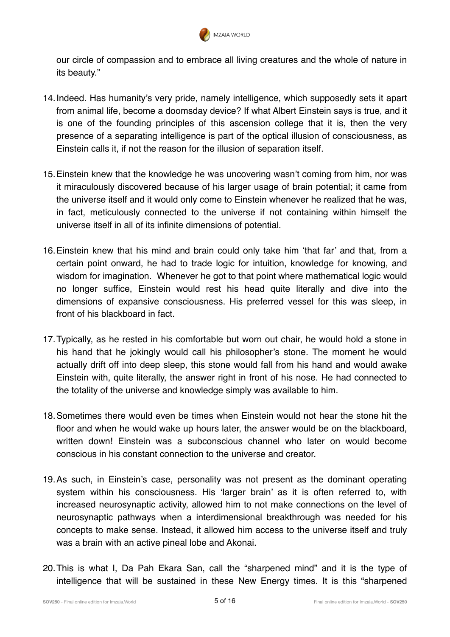

our circle of compassion and to embrace all living creatures and the whole of nature in its beauty."

- 14.Indeed. Has humanity's very pride, namely intelligence, which supposedly sets it apart from animal life, become a doomsday device? If what Albert Einstein says is true, and it is one of the founding principles of this ascension college that it is, then the very presence of a separating intelligence is part of the optical illusion of consciousness, as Einstein calls it, if not the reason for the illusion of separation itself.
- 15.Einstein knew that the knowledge he was uncovering wasn't coming from him, nor was it miraculously discovered because of his larger usage of brain potential; it came from the universe itself and it would only come to Einstein whenever he realized that he was, in fact, meticulously connected to the universe if not containing within himself the universe itself in all of its infinite dimensions of potential.
- 16.Einstein knew that his mind and brain could only take him 'that far' and that, from a certain point onward, he had to trade logic for intuition, knowledge for knowing, and wisdom for imagination. Whenever he got to that point where mathematical logic would no longer suffice, Einstein would rest his head quite literally and dive into the dimensions of expansive consciousness. His preferred vessel for this was sleep, in front of his blackboard in fact.
- 17.Typically, as he rested in his comfortable but worn out chair, he would hold a stone in his hand that he jokingly would call his philosopher's stone. The moment he would actually drift off into deep sleep, this stone would fall from his hand and would awake Einstein with, quite literally, the answer right in front of his nose. He had connected to the totality of the universe and knowledge simply was available to him.
- 18.Sometimes there would even be times when Einstein would not hear the stone hit the floor and when he would wake up hours later, the answer would be on the blackboard, written down! Einstein was a subconscious channel who later on would become conscious in his constant connection to the universe and creator.
- 19.As such, in Einstein's case, personality was not present as the dominant operating system within his consciousness. His 'larger brain' as it is often referred to, with increased neurosynaptic activity, allowed him to not make connections on the level of neurosynaptic pathways when a interdimensional breakthrough was needed for his concepts to make sense. Instead, it allowed him access to the universe itself and truly was a brain with an active pineal lobe and Akonai.
- 20.This is what I, Da Pah Ekara San, call the "sharpened mind" and it is the type of intelligence that will be sustained in these New Energy times. It is this "sharpened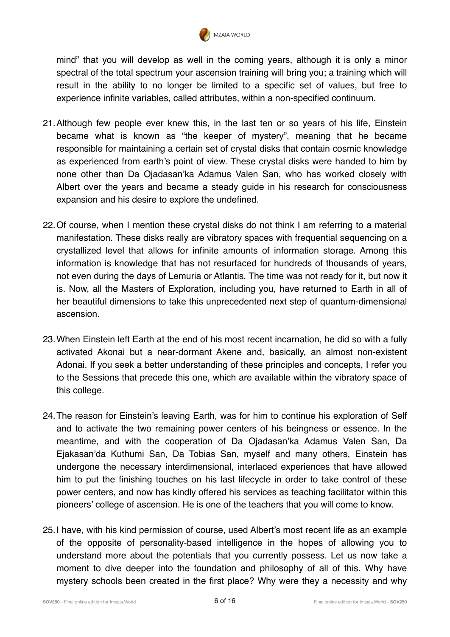

mind" that you will develop as well in the coming years, although it is only a minor spectral of the total spectrum your ascension training will bring you; a training which will result in the ability to no longer be limited to a specific set of values, but free to experience infinite variables, called attributes, within a non-specified continuum.

- 21.Although few people ever knew this, in the last ten or so years of his life, Einstein became what is known as "the keeper of mystery", meaning that he became responsible for maintaining a certain set of crystal disks that contain cosmic knowledge as experienced from earth's point of view. These crystal disks were handed to him by none other than Da Ojadasan'ka Adamus Valen San, who has worked closely with Albert over the years and became a steady guide in his research for consciousness expansion and his desire to explore the undefined.
- 22.Of course, when I mention these crystal disks do not think I am referring to a material manifestation. These disks really are vibratory spaces with frequential sequencing on a crystallized level that allows for infinite amounts of information storage. Among this information is knowledge that has not resurfaced for hundreds of thousands of years, not even during the days of Lemuria or Atlantis. The time was not ready for it, but now it is. Now, all the Masters of Exploration, including you, have returned to Earth in all of her beautiful dimensions to take this unprecedented next step of quantum-dimensional ascension.
- 23.When Einstein left Earth at the end of his most recent incarnation, he did so with a fully activated Akonai but a near-dormant Akene and, basically, an almost non-existent Adonai. If you seek a better understanding of these principles and concepts, I refer you to the Sessions that precede this one, which are available within the vibratory space of this college.
- 24.The reason for Einstein's leaving Earth, was for him to continue his exploration of Self and to activate the two remaining power centers of his beingness or essence. In the meantime, and with the cooperation of Da Ojadasan'ka Adamus Valen San, Da Ejakasan'da Kuthumi San, Da Tobias San, myself and many others, Einstein has undergone the necessary interdimensional, interlaced experiences that have allowed him to put the finishing touches on his last lifecycle in order to take control of these power centers, and now has kindly offered his services as teaching facilitator within this pioneers' college of ascension. He is one of the teachers that you will come to know.
- 25.I have, with his kind permission of course, used Albert's most recent life as an example of the opposite of personality-based intelligence in the hopes of allowing you to understand more about the potentials that you currently possess. Let us now take a moment to dive deeper into the foundation and philosophy of all of this. Why have mystery schools been created in the first place? Why were they a necessity and why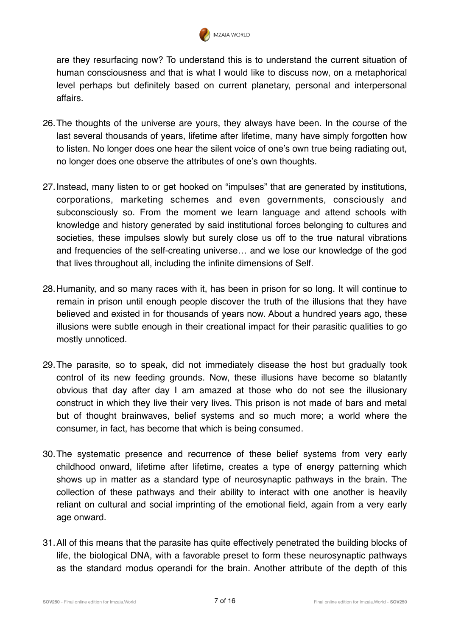

are they resurfacing now? To understand this is to understand the current situation of human consciousness and that is what I would like to discuss now, on a metaphorical level perhaps but definitely based on current planetary, personal and interpersonal affairs.

- 26.The thoughts of the universe are yours, they always have been. In the course of the last several thousands of years, lifetime after lifetime, many have simply forgotten how to listen. No longer does one hear the silent voice of one's own true being radiating out, no longer does one observe the attributes of one's own thoughts.
- 27.Instead, many listen to or get hooked on "impulses" that are generated by institutions, corporations, marketing schemes and even governments, consciously and subconsciously so. From the moment we learn language and attend schools with knowledge and history generated by said institutional forces belonging to cultures and societies, these impulses slowly but surely close us off to the true natural vibrations and frequencies of the self-creating universe… and we lose our knowledge of the god that lives throughout all, including the infinite dimensions of Self.
- 28.Humanity, and so many races with it, has been in prison for so long. It will continue to remain in prison until enough people discover the truth of the illusions that they have believed and existed in for thousands of years now. About a hundred years ago, these illusions were subtle enough in their creational impact for their parasitic qualities to go mostly unnoticed.
- 29.The parasite, so to speak, did not immediately disease the host but gradually took control of its new feeding grounds. Now, these illusions have become so blatantly obvious that day after day I am amazed at those who do not see the illusionary construct in which they live their very lives. This prison is not made of bars and metal but of thought brainwaves, belief systems and so much more; a world where the consumer, in fact, has become that which is being consumed.
- 30.The systematic presence and recurrence of these belief systems from very early childhood onward, lifetime after lifetime, creates a type of energy patterning which shows up in matter as a standard type of neurosynaptic pathways in the brain. The collection of these pathways and their ability to interact with one another is heavily reliant on cultural and social imprinting of the emotional field, again from a very early age onward.
- 31.All of this means that the parasite has quite effectively penetrated the building blocks of life, the biological DNA, with a favorable preset to form these neurosynaptic pathways as the standard modus operandi for the brain. Another attribute of the depth of this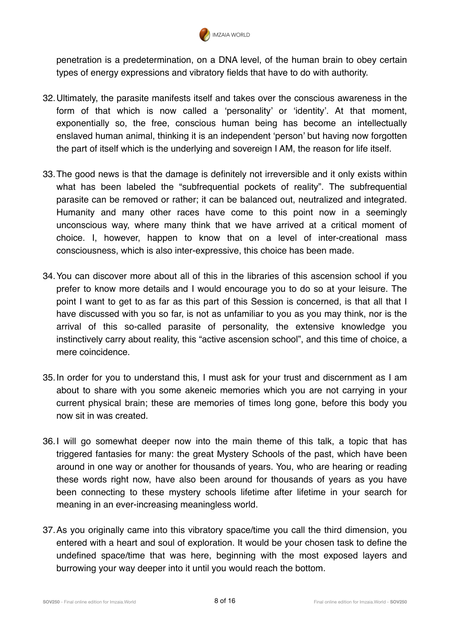

penetration is a predetermination, on a DNA level, of the human brain to obey certain types of energy expressions and vibratory fields that have to do with authority.

- 32.Ultimately, the parasite manifests itself and takes over the conscious awareness in the form of that which is now called a 'personality' or 'identity'. At that moment, exponentially so, the free, conscious human being has become an intellectually enslaved human animal, thinking it is an independent 'person' but having now forgotten the part of itself which is the underlying and sovereign I AM, the reason for life itself.
- 33.The good news is that the damage is definitely not irreversible and it only exists within what has been labeled the "subfrequential pockets of reality". The subfrequential parasite can be removed or rather; it can be balanced out, neutralized and integrated. Humanity and many other races have come to this point now in a seemingly unconscious way, where many think that we have arrived at a critical moment of choice. I, however, happen to know that on a level of inter-creational mass consciousness, which is also inter-expressive, this choice has been made.
- 34.You can discover more about all of this in the libraries of this ascension school if you prefer to know more details and I would encourage you to do so at your leisure. The point I want to get to as far as this part of this Session is concerned, is that all that I have discussed with you so far, is not as unfamiliar to you as you may think, nor is the arrival of this so-called parasite of personality, the extensive knowledge you instinctively carry about reality, this "active ascension school", and this time of choice, a mere coincidence.
- 35.In order for you to understand this, I must ask for your trust and discernment as I am about to share with you some akeneic memories which you are not carrying in your current physical brain; these are memories of times long gone, before this body you now sit in was created.
- 36.I will go somewhat deeper now into the main theme of this talk, a topic that has triggered fantasies for many: the great Mystery Schools of the past, which have been around in one way or another for thousands of years. You, who are hearing or reading these words right now, have also been around for thousands of years as you have been connecting to these mystery schools lifetime after lifetime in your search for meaning in an ever-increasing meaningless world.
- 37.As you originally came into this vibratory space/time you call the third dimension, you entered with a heart and soul of exploration. It would be your chosen task to define the undefined space/time that was here, beginning with the most exposed layers and burrowing your way deeper into it until you would reach the bottom.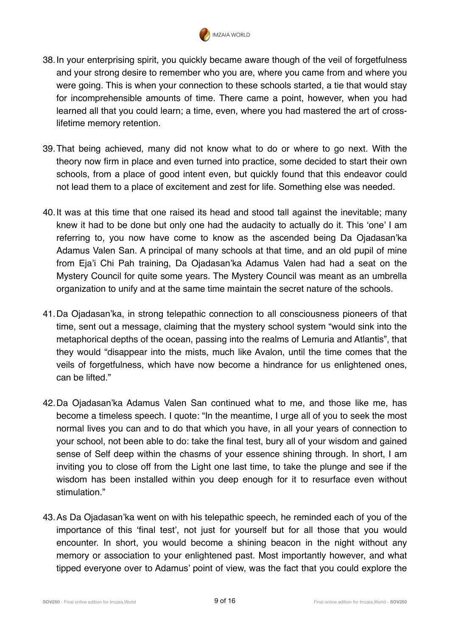

- 38.In your enterprising spirit, you quickly became aware though of the veil of forgetfulness and your strong desire to remember who you are, where you came from and where you were going. This is when your connection to these schools started, a tie that would stay for incomprehensible amounts of time. There came a point, however, when you had learned all that you could learn; a time, even, where you had mastered the art of crosslifetime memory retention.
- 39.That being achieved, many did not know what to do or where to go next. With the theory now firm in place and even turned into practice, some decided to start their own schools, from a place of good intent even, but quickly found that this endeavor could not lead them to a place of excitement and zest for life. Something else was needed.
- 40.It was at this time that one raised its head and stood tall against the inevitable; many knew it had to be done but only one had the audacity to actually do it. This 'one' I am referring to, you now have come to know as the ascended being Da Ojadasan'ka Adamus Valen San. A principal of many schools at that time, and an old pupil of mine from Eja'i Chi Pah training, Da Ojadasan'ka Adamus Valen had had a seat on the Mystery Council for quite some years. The Mystery Council was meant as an umbrella organization to unify and at the same time maintain the secret nature of the schools.
- 41.Da Ojadasan'ka, in strong telepathic connection to all consciousness pioneers of that time, sent out a message, claiming that the mystery school system "would sink into the metaphorical depths of the ocean, passing into the realms of Lemuria and Atlantis", that they would "disappear into the mists, much like Avalon, until the time comes that the veils of forgetfulness, which have now become a hindrance for us enlightened ones, can be lifted."
- 42.Da Ojadasan'ka Adamus Valen San continued what to me, and those like me, has become a timeless speech. I quote: "In the meantime, I urge all of you to seek the most normal lives you can and to do that which you have, in all your years of connection to your school, not been able to do: take the final test, bury all of your wisdom and gained sense of Self deep within the chasms of your essence shining through. In short, I am inviting you to close off from the Light one last time, to take the plunge and see if the wisdom has been installed within you deep enough for it to resurface even without stimulation."
- 43.As Da Ojadasan'ka went on with his telepathic speech, he reminded each of you of the importance of this 'final test', not just for yourself but for all those that you would encounter. In short, you would become a shining beacon in the night without any memory or association to your enlightened past. Most importantly however, and what tipped everyone over to Adamus' point of view, was the fact that you could explore the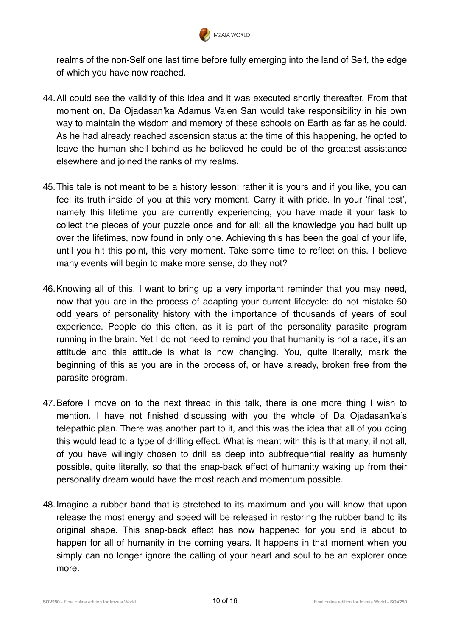

realms of the non-Self one last time before fully emerging into the land of Self, the edge of which you have now reached.

- 44.All could see the validity of this idea and it was executed shortly thereafter. From that moment on, Da Ojadasan'ka Adamus Valen San would take responsibility in his own way to maintain the wisdom and memory of these schools on Earth as far as he could. As he had already reached ascension status at the time of this happening, he opted to leave the human shell behind as he believed he could be of the greatest assistance elsewhere and joined the ranks of my realms.
- 45.This tale is not meant to be a history lesson; rather it is yours and if you like, you can feel its truth inside of you at this very moment. Carry it with pride. In your 'final test', namely this lifetime you are currently experiencing, you have made it your task to collect the pieces of your puzzle once and for all; all the knowledge you had built up over the lifetimes, now found in only one. Achieving this has been the goal of your life, until you hit this point, this very moment. Take some time to reflect on this. I believe many events will begin to make more sense, do they not?
- 46.Knowing all of this, I want to bring up a very important reminder that you may need, now that you are in the process of adapting your current lifecycle: do not mistake 50 odd years of personality history with the importance of thousands of years of soul experience. People do this often, as it is part of the personality parasite program running in the brain. Yet I do not need to remind you that humanity is not a race, it's an attitude and this attitude is what is now changing. You, quite literally, mark the beginning of this as you are in the process of, or have already, broken free from the parasite program.
- 47.Before I move on to the next thread in this talk, there is one more thing I wish to mention. I have not finished discussing with you the whole of Da Ojadasan'ka's telepathic plan. There was another part to it, and this was the idea that all of you doing this would lead to a type of drilling effect. What is meant with this is that many, if not all, of you have willingly chosen to drill as deep into subfrequential reality as humanly possible, quite literally, so that the snap-back effect of humanity waking up from their personality dream would have the most reach and momentum possible.
- 48.Imagine a rubber band that is stretched to its maximum and you will know that upon release the most energy and speed will be released in restoring the rubber band to its original shape. This snap-back effect has now happened for you and is about to happen for all of humanity in the coming years. It happens in that moment when you simply can no longer ignore the calling of your heart and soul to be an explorer once more.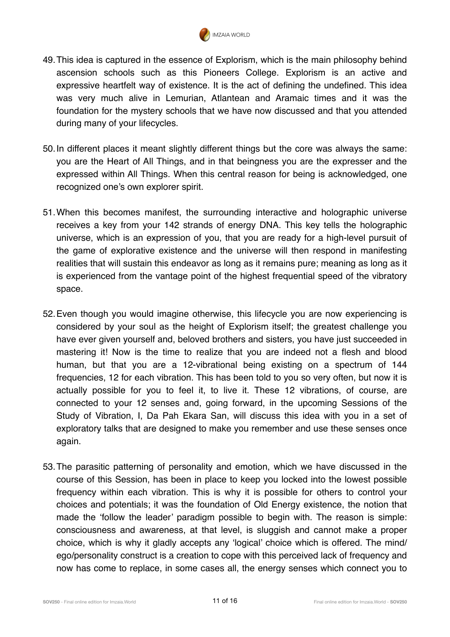

- 49.This idea is captured in the essence of Explorism, which is the main philosophy behind ascension schools such as this Pioneers College. Explorism is an active and expressive heartfelt way of existence. It is the act of defining the undefined. This idea was very much alive in Lemurian, Atlantean and Aramaic times and it was the foundation for the mystery schools that we have now discussed and that you attended during many of your lifecycles.
- 50.In different places it meant slightly different things but the core was always the same: you are the Heart of All Things, and in that beingness you are the expresser and the expressed within All Things. When this central reason for being is acknowledged, one recognized one's own explorer spirit.
- 51.When this becomes manifest, the surrounding interactive and holographic universe receives a key from your 142 strands of energy DNA. This key tells the holographic universe, which is an expression of you, that you are ready for a high-level pursuit of the game of explorative existence and the universe will then respond in manifesting realities that will sustain this endeavor as long as it remains pure; meaning as long as it is experienced from the vantage point of the highest frequential speed of the vibratory space.
- 52.Even though you would imagine otherwise, this lifecycle you are now experiencing is considered by your soul as the height of Explorism itself; the greatest challenge you have ever given yourself and, beloved brothers and sisters, you have just succeeded in mastering it! Now is the time to realize that you are indeed not a flesh and blood human, but that you are a 12-vibrational being existing on a spectrum of 144 frequencies, 12 for each vibration. This has been told to you so very often, but now it is actually possible for you to feel it, to live it. These 12 vibrations, of course, are connected to your 12 senses and, going forward, in the upcoming Sessions of the Study of Vibration, I, Da Pah Ekara San, will discuss this idea with you in a set of exploratory talks that are designed to make you remember and use these senses once again.
- 53.The parasitic patterning of personality and emotion, which we have discussed in the course of this Session, has been in place to keep you locked into the lowest possible frequency within each vibration. This is why it is possible for others to control your choices and potentials; it was the foundation of Old Energy existence, the notion that made the 'follow the leader' paradigm possible to begin with. The reason is simple: consciousness and awareness, at that level, is sluggish and cannot make a proper choice, which is why it gladly accepts any 'logical' choice which is offered. The mind/ ego/personality construct is a creation to cope with this perceived lack of frequency and now has come to replace, in some cases all, the energy senses which connect you to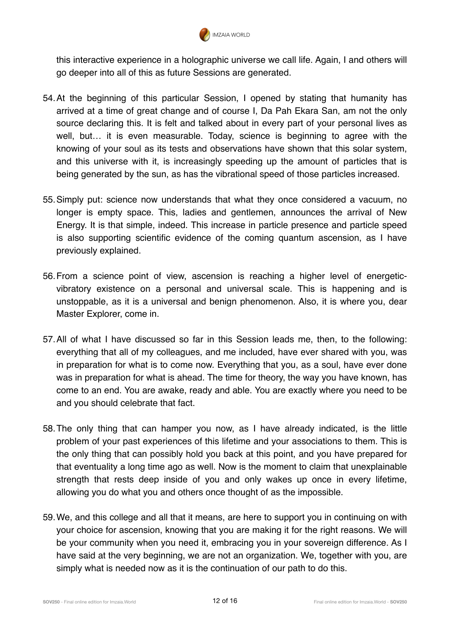

this interactive experience in a holographic universe we call life. Again, I and others will go deeper into all of this as future Sessions are generated.

- 54.At the beginning of this particular Session, I opened by stating that humanity has arrived at a time of great change and of course I, Da Pah Ekara San, am not the only source declaring this. It is felt and talked about in every part of your personal lives as well, but… it is even measurable. Today, science is beginning to agree with the knowing of your soul as its tests and observations have shown that this solar system, and this universe with it, is increasingly speeding up the amount of particles that is being generated by the sun, as has the vibrational speed of those particles increased.
- 55.Simply put: science now understands that what they once considered a vacuum, no longer is empty space. This, ladies and gentlemen, announces the arrival of New Energy. It is that simple, indeed. This increase in particle presence and particle speed is also supporting scientific evidence of the coming quantum ascension, as I have previously explained.
- 56.From a science point of view, ascension is reaching a higher level of energeticvibratory existence on a personal and universal scale. This is happening and is unstoppable, as it is a universal and benign phenomenon. Also, it is where you, dear Master Explorer, come in.
- 57.All of what I have discussed so far in this Session leads me, then, to the following: everything that all of my colleagues, and me included, have ever shared with you, was in preparation for what is to come now. Everything that you, as a soul, have ever done was in preparation for what is ahead. The time for theory, the way you have known, has come to an end. You are awake, ready and able. You are exactly where you need to be and you should celebrate that fact.
- 58.The only thing that can hamper you now, as I have already indicated, is the little problem of your past experiences of this lifetime and your associations to them. This is the only thing that can possibly hold you back at this point, and you have prepared for that eventuality a long time ago as well. Now is the moment to claim that unexplainable strength that rests deep inside of you and only wakes up once in every lifetime, allowing you do what you and others once thought of as the impossible.
- 59.We, and this college and all that it means, are here to support you in continuing on with your choice for ascension, knowing that you are making it for the right reasons. We will be your community when you need it, embracing you in your sovereign difference. As I have said at the very beginning, we are not an organization. We, together with you, are simply what is needed now as it is the continuation of our path to do this.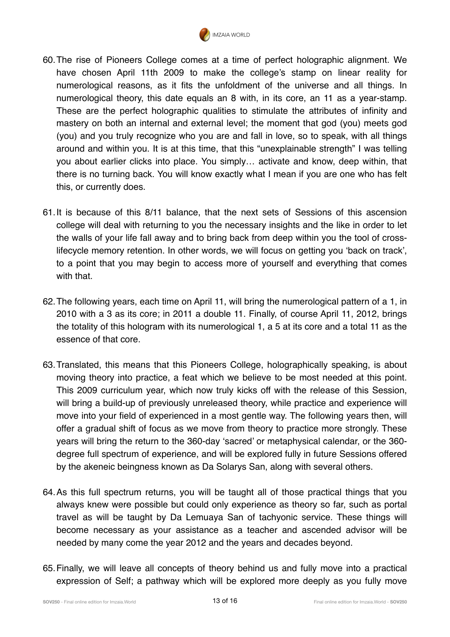

- 60.The rise of Pioneers College comes at a time of perfect holographic alignment. We have chosen April 11th 2009 to make the college's stamp on linear reality for numerological reasons, as it fits the unfoldment of the universe and all things. In numerological theory, this date equals an 8 with, in its core, an 11 as a year-stamp. These are the perfect holographic qualities to stimulate the attributes of infinity and mastery on both an internal and external level; the moment that god (you) meets god (you) and you truly recognize who you are and fall in love, so to speak, with all things around and within you. It is at this time, that this "unexplainable strength" I was telling you about earlier clicks into place. You simply… activate and know, deep within, that there is no turning back. You will know exactly what I mean if you are one who has felt this, or currently does.
- 61.It is because of this 8/11 balance, that the next sets of Sessions of this ascension college will deal with returning to you the necessary insights and the like in order to let the walls of your life fall away and to bring back from deep within you the tool of crosslifecycle memory retention. In other words, we will focus on getting you 'back on track', to a point that you may begin to access more of yourself and everything that comes with that.
- 62.The following years, each time on April 11, will bring the numerological pattern of a 1, in 2010 with a 3 as its core; in 2011 a double 11. Finally, of course April 11, 2012, brings the totality of this hologram with its numerological 1, a 5 at its core and a total 11 as the essence of that core.
- 63.Translated, this means that this Pioneers College, holographically speaking, is about moving theory into practice, a feat which we believe to be most needed at this point. This 2009 curriculum year, which now truly kicks off with the release of this Session, will bring a build-up of previously unreleased theory, while practice and experience will move into your field of experienced in a most gentle way. The following years then, will offer a gradual shift of focus as we move from theory to practice more strongly. These years will bring the return to the 360-day 'sacred' or metaphysical calendar, or the 360 degree full spectrum of experience, and will be explored fully in future Sessions offered by the akeneic beingness known as Da Solarys San, along with several others.
- 64.As this full spectrum returns, you will be taught all of those practical things that you always knew were possible but could only experience as theory so far, such as portal travel as will be taught by Da Lemuaya San of tachyonic service. These things will become necessary as your assistance as a teacher and ascended advisor will be needed by many come the year 2012 and the years and decades beyond.
- 65.Finally, we will leave all concepts of theory behind us and fully move into a practical expression of Self; a pathway which will be explored more deeply as you fully move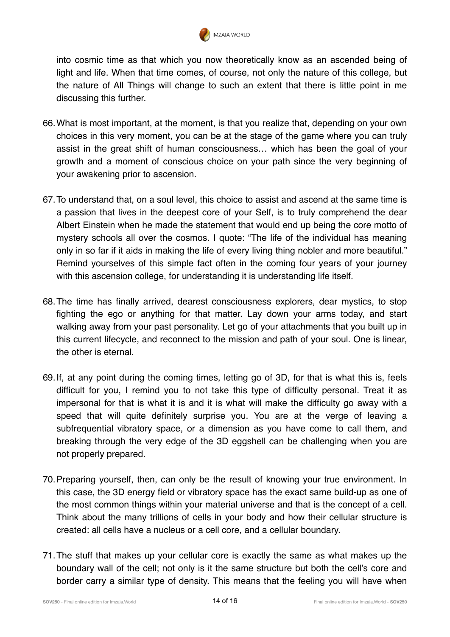

into cosmic time as that which you now theoretically know as an ascended being of light and life. When that time comes, of course, not only the nature of this college, but the nature of All Things will change to such an extent that there is little point in me discussing this further.

- 66.What is most important, at the moment, is that you realize that, depending on your own choices in this very moment, you can be at the stage of the game where you can truly assist in the great shift of human consciousness… which has been the goal of your growth and a moment of conscious choice on your path since the very beginning of your awakening prior to ascension.
- 67.To understand that, on a soul level, this choice to assist and ascend at the same time is a passion that lives in the deepest core of your Self, is to truly comprehend the dear Albert Einstein when he made the statement that would end up being the core motto of mystery schools all over the cosmos. I quote: "The life of the individual has meaning only in so far if it aids in making the life of every living thing nobler and more beautiful." Remind yourselves of this simple fact often in the coming four years of your journey with this ascension college, for understanding it is understanding life itself.
- 68.The time has finally arrived, dearest consciousness explorers, dear mystics, to stop fighting the ego or anything for that matter. Lay down your arms today, and start walking away from your past personality. Let go of your attachments that you built up in this current lifecycle, and reconnect to the mission and path of your soul. One is linear, the other is eternal.
- 69.If, at any point during the coming times, letting go of 3D, for that is what this is, feels difficult for you, I remind you to not take this type of difficulty personal. Treat it as impersonal for that is what it is and it is what will make the difficulty go away with a speed that will quite definitely surprise you. You are at the verge of leaving a subfrequential vibratory space, or a dimension as you have come to call them, and breaking through the very edge of the 3D eggshell can be challenging when you are not properly prepared.
- 70.Preparing yourself, then, can only be the result of knowing your true environment. In this case, the 3D energy field or vibratory space has the exact same build-up as one of the most common things within your material universe and that is the concept of a cell. Think about the many trillions of cells in your body and how their cellular structure is created: all cells have a nucleus or a cell core, and a cellular boundary.
- 71.The stuff that makes up your cellular core is exactly the same as what makes up the boundary wall of the cell; not only is it the same structure but both the cell's core and border carry a similar type of density. This means that the feeling you will have when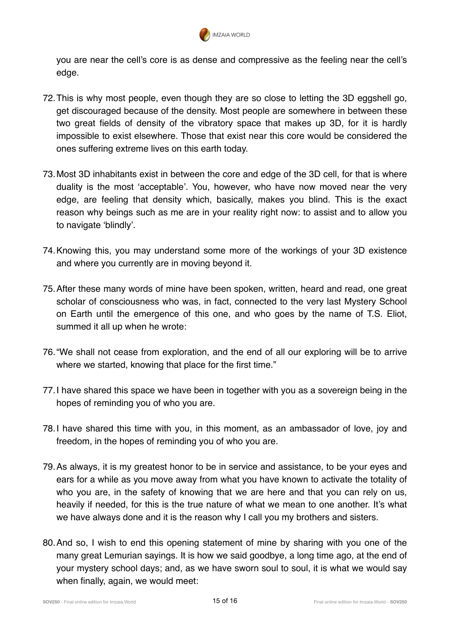

you are near the cell's core is as dense and compressive as the feeling near the cell's edge.

- 72.This is why most people, even though they are so close to letting the 3D eggshell go, get discouraged because of the density. Most people are somewhere in between these two great fields of density of the vibratory space that makes up 3D, for it is hardly impossible to exist elsewhere. Those that exist near this core would be considered the ones suffering extreme lives on this earth today.
- 73.Most 3D inhabitants exist in between the core and edge of the 3D cell, for that is where duality is the most 'acceptable'. You, however, who have now moved near the very edge, are feeling that density which, basically, makes you blind. This is the exact reason why beings such as me are in your reality right now: to assist and to allow you to navigate 'blindly'.
- 74.Knowing this, you may understand some more of the workings of your 3D existence and where you currently are in moving beyond it.
- 75.After these many words of mine have been spoken, written, heard and read, one great scholar of consciousness who was, in fact, connected to the very last Mystery School on Earth until the emergence of this one, and who goes by the name of T.S. Eliot, summed it all up when he wrote:
- 76."We shall not cease from exploration, and the end of all our exploring will be to arrive where we started, knowing that place for the first time."
- 77.I have shared this space we have been in together with you as a sovereign being in the hopes of reminding you of who you are.
- 78.I have shared this time with you, in this moment, as an ambassador of love, joy and freedom, in the hopes of reminding you of who you are.
- 79.As always, it is my greatest honor to be in service and assistance, to be your eyes and ears for a while as you move away from what you have known to activate the totality of who you are, in the safety of knowing that we are here and that you can rely on us, heavily if needed, for this is the true nature of what we mean to one another. It's what we have always done and it is the reason why I call you my brothers and sisters.
- 80.And so, I wish to end this opening statement of mine by sharing with you one of the many great Lemurian sayings. It is how we said goodbye, a long time ago, at the end of your mystery school days; and, as we have sworn soul to soul, it is what we would say when finally, again, we would meet: